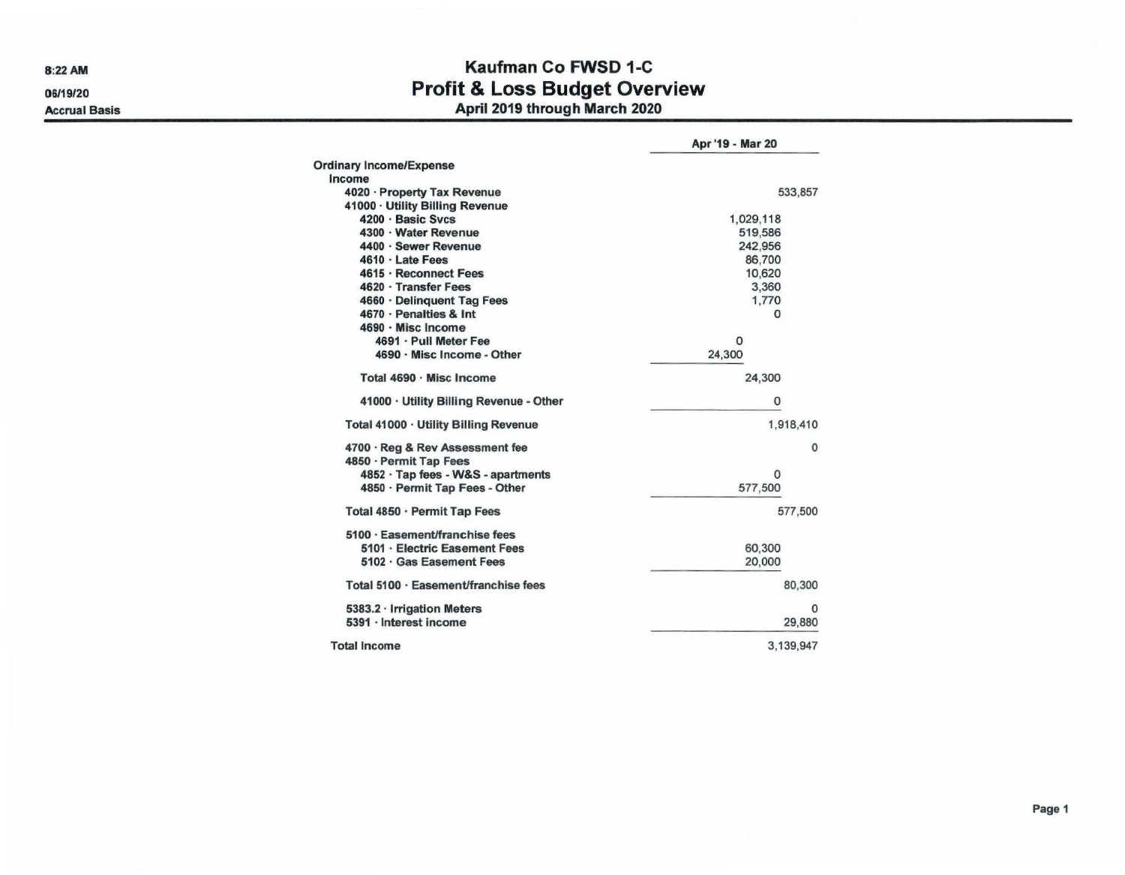8:22AM 06/19/20

## Accrual Basis

## Kaufman Co FWSD 1-C Profit & Loss Budget Overview April 2019 through March 2020

|                                                           | Apr '19 - Mar 20 |
|-----------------------------------------------------------|------------------|
| <b>Ordinary Income/Expense</b>                            |                  |
| Income                                                    |                  |
| 4020 · Property Tax Revenue                               | 533,857          |
| 41000 · Utility Billing Revenue                           |                  |
| 4200 · Basic Sycs                                         | 1,029,118        |
| 4300 · Water Revenue                                      | 519,586          |
| 4400 · Sewer Revenue                                      | 242,956          |
| 4610 · Late Fees                                          | 86,700           |
| 4615 · Reconnect Fees                                     | 10,620           |
| 4620 · Transfer Fees                                      | 3,360            |
| 4660 · Delinquent Tag Fees                                | 1,770            |
| 4670 - Penalties & Int                                    | 0                |
| 4690 · Misc Income                                        |                  |
| 4691 · Pull Meter Fee                                     | o                |
| 4690 · Misc Income - Other                                | 24,300           |
| Total 4690 · Misc Income                                  | 24,300           |
| 41000 · Utility Billing Revenue - Other                   | 0                |
| Total 41000 · Utility Billing Revenue                     | 1,918,410        |
| 4700 · Reg & Rev Assessment fee<br>4850 · Permit Tap Fees | $\mathbf 0$      |
| 4852 · Tap fees - W&S - apartments                        | $\Omega$         |
| 4850 · Permit Tap Fees - Other                            | 577,500          |
| Total 4850 · Permit Tap Fees                              | 577,500          |
| 5100 · Easement/franchise fees                            |                  |
| 5101 · Electric Easement Fees                             | 60,300           |
| 5102 · Gas Easement Fees                                  | 20,000           |
| Total 5100 · Easement/franchise fees                      | 80,300           |
| 5383.2 Irrigation Meters                                  | $\Omega$         |
| 5391 · Interest income                                    | 29,880           |
| <b>Total Income</b>                                       | 3.139.947        |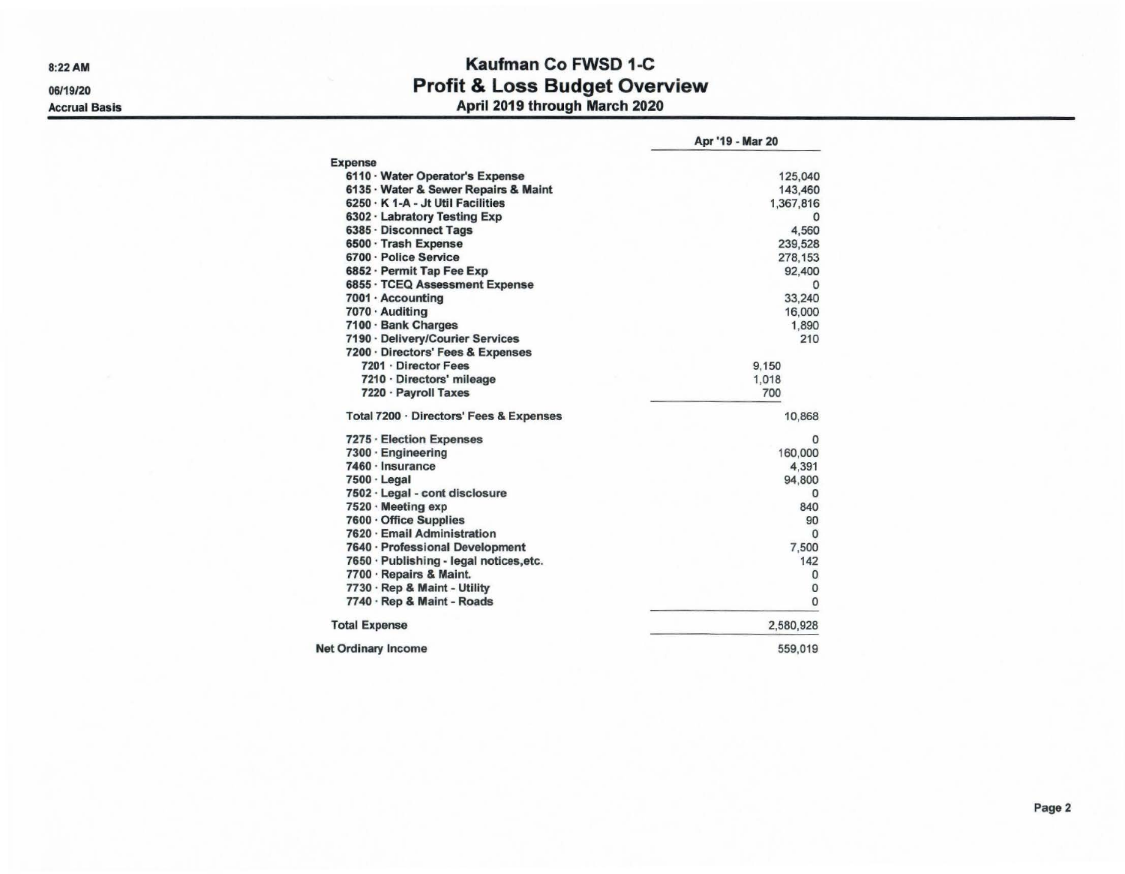8:22AM

06/19/20

Accrual Basis

## Kaufman Co FWSD 1-C Profit & Loss Budget Overview April 2019 through March 2020

|                                         | Apr '19 - Mar 20 |
|-----------------------------------------|------------------|
| <b>Expense</b>                          |                  |
| 6110 · Water Operator's Expense         | 125,040          |
| 6135 · Water & Sewer Repairs & Maint    | 143,460          |
| 6250 · K 1-A - Jt Util Facilities       | 1,367,816        |
| 6302 · Labratory Testing Exp            | 0                |
| 6385 · Disconnect Tags                  | 4,560            |
| 6500 · Trash Expense                    | 239,528          |
| 6700 · Police Service                   | 278,153          |
| 6852 · Permit Tap Fee Exp               | 92,400           |
| 6855 · TCEQ Assessment Expense          | 0                |
| 7001 · Accounting                       | 33,240           |
| 7070 · Auditing                         | 16,000           |
| 7100 · Bank Charges                     | 1.890            |
| 7190 · Delivery/Courier Services        | 210              |
| 7200 · Directors' Fees & Expenses       |                  |
| 7201 · Director Fees                    | 9,150            |
| 7210 · Directors' mileage               | 1,018            |
| 7220 · Payroll Taxes                    | 700              |
| Total 7200 · Directors' Fees & Expenses | 10,868           |
| 7275 · Election Expenses                | 0                |
| 7300 · Engineering                      | 160,000          |
| 7460 · Insurance                        | 4.391            |
| 7500 · Legal                            | 94,800           |
| 7502 · Legal - cont disclosure          | 0                |
| 7520 · Meeting exp                      | 840              |
| 7600 · Office Supplies                  | 90               |
| 7620 · Email Administration             | $\Omega$         |
| 7640 · Professional Development         | 7.500            |
| 7650 · Publishing - legal notices, etc. | 142              |
| 7700 · Repairs & Maint.                 | 0                |
| 7730 · Rep & Maint - Utility            | 0                |
| 7740 · Rep & Maint - Roads              | $\mathbf{0}$     |
| <b>Total Expense</b>                    | 2,580,928        |
| <b>Net Ordinary Income</b>              | 559,019          |